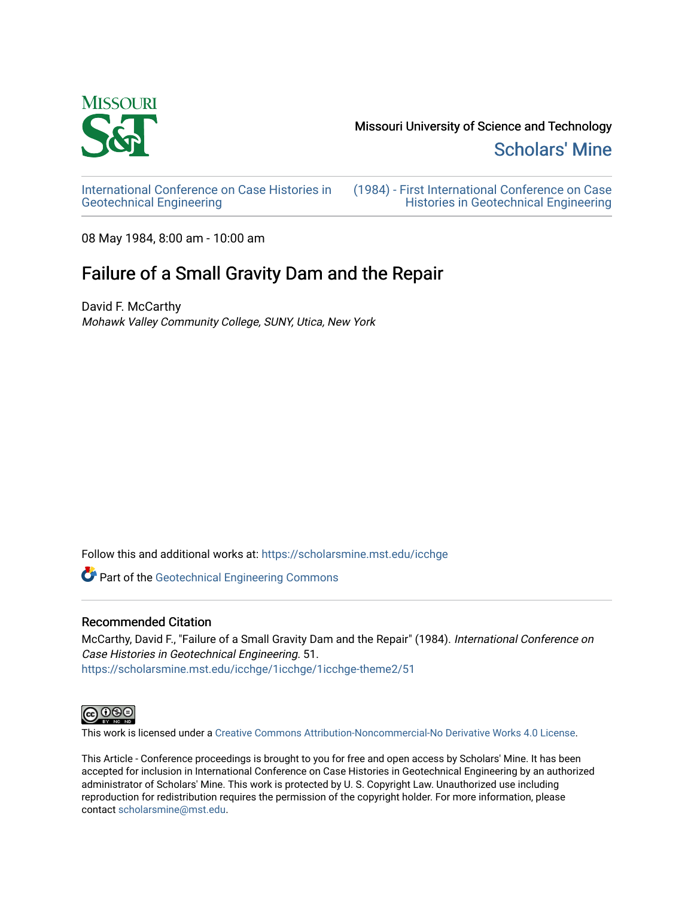

[Scholars' Mine](https://scholarsmine.mst.edu/) 

[International Conference on Case Histories in](https://scholarsmine.mst.edu/icchge)  [Geotechnical Engineering](https://scholarsmine.mst.edu/icchge)

[\(1984\) - First International Conference on Case](https://scholarsmine.mst.edu/icchge/1icchge)  [Histories in Geotechnical Engineering](https://scholarsmine.mst.edu/icchge/1icchge) 

08 May 1984, 8:00 am - 10:00 am

# Failure of a Small Gravity Dam and the Repair

David F. McCarthy Mohawk Valley Community College, SUNY, Utica, New York

Follow this and additional works at: [https://scholarsmine.mst.edu/icchge](https://scholarsmine.mst.edu/icchge?utm_source=scholarsmine.mst.edu%2Ficchge%2F1icchge%2F1icchge-theme2%2F51&utm_medium=PDF&utm_campaign=PDFCoverPages) 

Part of the [Geotechnical Engineering Commons](http://network.bepress.com/hgg/discipline/255?utm_source=scholarsmine.mst.edu%2Ficchge%2F1icchge%2F1icchge-theme2%2F51&utm_medium=PDF&utm_campaign=PDFCoverPages) 

# Recommended Citation

McCarthy, David F., "Failure of a Small Gravity Dam and the Repair" (1984). International Conference on Case Histories in Geotechnical Engineering. 51. [https://scholarsmine.mst.edu/icchge/1icchge/1icchge-theme2/51](https://scholarsmine.mst.edu/icchge/1icchge/1icchge-theme2/51?utm_source=scholarsmine.mst.edu%2Ficchge%2F1icchge%2F1icchge-theme2%2F51&utm_medium=PDF&utm_campaign=PDFCoverPages) 



This work is licensed under a [Creative Commons Attribution-Noncommercial-No Derivative Works 4.0 License.](https://creativecommons.org/licenses/by-nc-nd/4.0/)

This Article - Conference proceedings is brought to you for free and open access by Scholars' Mine. It has been accepted for inclusion in International Conference on Case Histories in Geotechnical Engineering by an authorized administrator of Scholars' Mine. This work is protected by U. S. Copyright Law. Unauthorized use including reproduction for redistribution requires the permission of the copyright holder. For more information, please contact [scholarsmine@mst.edu](mailto:scholarsmine@mst.edu).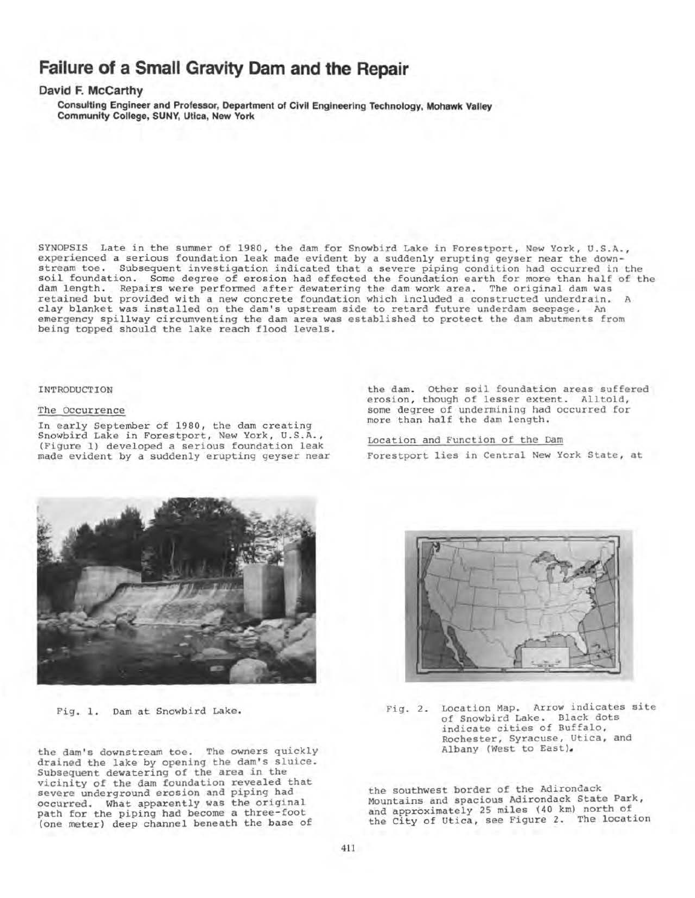# **Failure of a Small Gravity Dam and the Repair**

# **David F. McCarthy**

Consulting Engineer and Professor, Department of Civil Engineering Technology, Mohawk Valley Community College, SUNY, Utica, New York

SYNOPSIS Late in the summer of 1980, the dam for Snowbird Lake in Forestport, New York, U.S.A., experienced a serious foundation leak made evident by a suddenly erupting geyser near the downstream toe. Subsequent investigation indicated that a severe piping condition had occurred in the soil foundation. Some degree of erosion had effected the foundation earth for more than half of the dam length. Repairs were performed after dewatering the dam work area. The original dam was retained but provided with a new concrete foundation which included a constructed underdrain. A clay blanket was installed on the dam's upstream side to retard future underdam seepage. An emergency spillway circumventing the dam area was established to protect the dam abutments from being topped should the lake reach flood levels.

#### INTRODUCTION

## The Occurrence

In early September of 1980, the dam creating Snowbird Lake in Forestport, New York, U.S.A. , (Figure 1) developed a serious foundation leak made evident by a suddenly erupting geyser near

the dam. Other soil foundation areas suffered erosion, though of lesser extent. Alltold, some degree of undermining had occurred for more than half the dam length.

Location and Function of the Dam Forestport lies in Central New York State, at



Fig. 1. Dam at Snowbird Lake.

the dam's downstream toe. The owners quickly drained the lake by opening the dam's sluice. Subsequent dewatering of the area in the vicinity of the dam foundation revealed that severe underground erosion and piping had occurred. What apparently was the original path for the piping had become a three-foot (one meter) deep channel beneath the base of



Fig. 2. Location Map. Arrow indicates site of Snowbird Lake. Black dots indicate cities of Buffalo, Rochester, Syracuse, Utica, and Albany (West to East).

the southwest border of the Adirondack Mountains and spacious Adirondack State Park, and approximately 25 miles (40 km) north of the City of Utica, see Figure 2. The location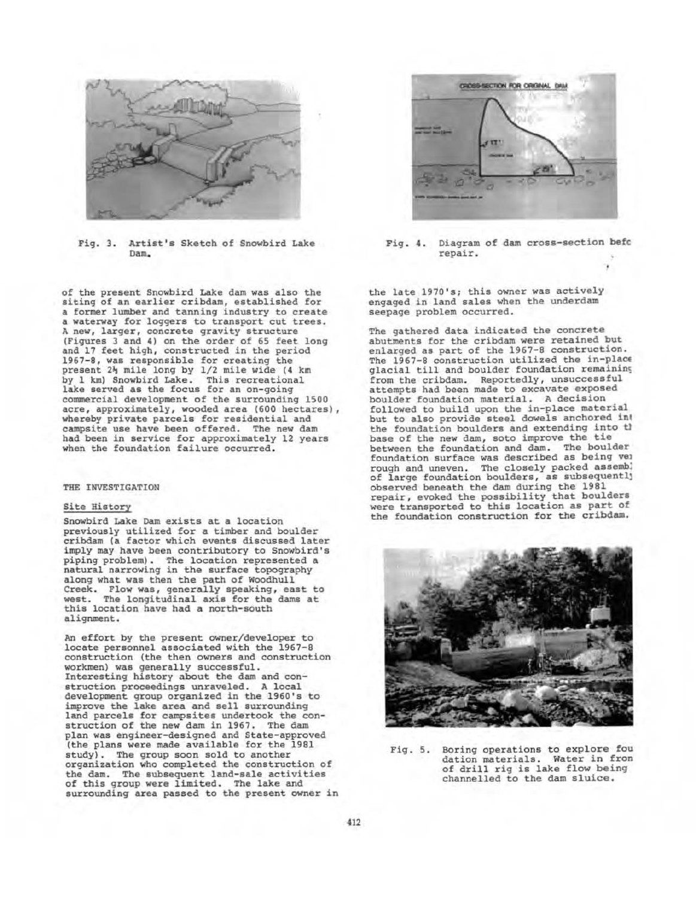

Fig. 3. Artist's Sketch of Snowbird Lake Dam.

of the present Snowbird Lake dam was also the siting of an earlier cribdam, established for a former lumber and tanning industry to create a waterway for loggers to transport cut trees. A new, larger, concrete gravity structure (Figures 3 and 4) on the order of 65 feet long and 17 feet high, constructed in the period 1967-8, was responsible for creating the present 24 mile long by 1/2 mile wide (4 km by 1 km) Snowbird Lake. This recreational lake served as the focus for an on-going commercial development of the surrounding 1500 acre, approximately, wooded area (600 hectares), whereby private parcels for residential and campsite use have been offered. The new dam had been in service for approximately 12 years when the foundation failure occurred.

#### THE INVESTIGATION

## Site History

Snowbird Lake Dam exists at a location previously utilized for a timber and boulder cribdam (a factor which events discussed later imply may have been contributory to Snowbird's<br>piping problem). The location represented a natural narrowing in the surface topography along what was then the path of Woodhull Creek. Flow was, generally speaking, east to<br>west. The longitudinal axis for the dams at The longitudinal axis for the dams at this location have had a north-south alignment.

An effort by the present owner/developer to locate personnel associated with the 1967-8 construction (the then owners and construction workmen) was generally successful. Interesting history about the dam and construction proceedings unraveled. A local development group organized in the 1960's to improve the lake area and sell surrounding land parcels for campsites undertook the con- struction of the new dam in 1967. The dam plan was engineer-designed and State-approved (the plans were made available for the 1981 study). The group soon sold to another organization who completed the construction of the dam. The subsequent land-sale activities of this group were limited. The lake and surrounding area passed to the present owner in



Fig. 4. Diagram of dam cross-section befc repair.

the late 1970's; this owner was actively engaged in land sales when the underdam seepage problem occurred.

The gathered data indicated the concrete abutments for the cribdam were retained but enlarged as part of the 1967-8 construction.<br>The 1967-8 construction utilized the in-place glacial till and boulder foundation remaining from the cribdam. Reportedly, unsuccessful attempts had been made to excavate exposed boulder foundation material. A decision fol1owed to build upon the in-place material but to also provide steel dowels anchored in' the foundation boulders and extending into th base of the new dam, soto improve the tie between the foundation and dam. The boulder foundation surface was described as being ve1 rough and uneven. The closely packed assembl of large foundation boulders, as subsequentll observed beneath the dam during the 1981 repair, evoked the possibility that boulders were transported to this location as part of the foundation construction for the cribdam.



Fig. 5. Boring operations to explore fou dation materials. Water in fron of drill rig is lake flow being channelled to the dam sluice.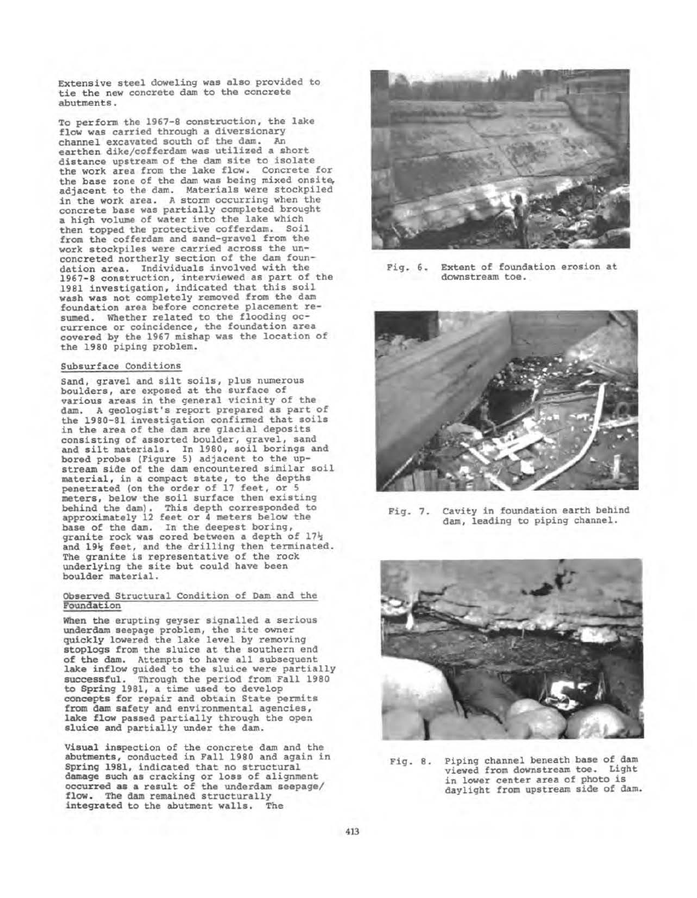Extensive steel doweling was also provided to tie the new concrete dam to the concrete abutments.

To perform the 1967-8 construction, the lake flow was carried through a diversionary channel excavated south of the dam. An earthen dike/cofferdam was utilized a short distance upstream of the dam site to isolate the work area from the lake flow. Concrete for the base zone of the dam was being mixed onsite, adjacent to the dam. Materials were stockpiled in the work area. A storm occurring when the concrete base was partially completed brought a high volume of water into the lake which then topped the protective cofferdam. Soil from the cofferdam and sand-gravel from the work stockpiles were carried across the un- concreted northerly section of the dam foundation area. Individuals involved with the 1967-8 construction, interviewed as part of the 1981 investigation, indicated that this soil wash was not completely removed from the dam foundation area before concrete placement re- sumed. Whether related to the flooding oc- currence or coincidence, the foundation area covered by the 1967 mishap was the location of the 1980 piping problem.

#### Subsurface Conditions

Sand, gravel and silt soils, plus numerous boulders, are exposed at the surface of various areas in the general vicinity of the dam. A geologist's report prepared as part of the 1980-81 investigation confirmed that soils in the area of the dam are glacial deposits consisting of assorted boulder, gravel, sand and silt materials. In 1980, soil borings and bored probes (Figure 5) adjacent to the upstream side of the dam encountered similar soil material, in a compact state, to the depths penetrated (on the order of 17 feet, or 5 meters, below the soil surface then existing behind the dam) . This depth corresponded to approximately 12 feet or 4 meters below the base of the dam. In the deepest boring, granite rock was cored between a depth of 17} and 19% feet, and the drilling then terminated. The granite is representative of the rock underlying the site but could have been boulder material.

#### Observed Structural Condition of Dam and the Foundation

When the erupting geyser signalled a serious underdam seepage problem, the site owner quickly lowered the lake level by removing stoplogs from the sluice at the southern end of the dam. Attempts to have all subsequent lake inflow guided to the sluice were partially successful. Through the period from Fall 1980 to Spring 1981, a time used to develop concepts for repair and obtain State permits from dam safety and environmental agencies, lake flow passed partially through the open sluice and partially under the dam.

Visual inspection of the concrete dam and the abutments, conducted in Fall 1980 and again in Spring 1981, indicated that no structural damage such as cracking or loss of alignment occurred as a result of the underdam seepage/ flow. The dam remained structurally integrated to the abutment walls. The



Fig. 6. Extent of foundation erosion at downstream toe.



Fig. 7. Cavity in foundation earth behind dam, leading to piping channel.



Fig. 8. Piping channel beneath base of dam viewed from downstream toe. Light in lower center area of photo is daylight from upstream side of dam.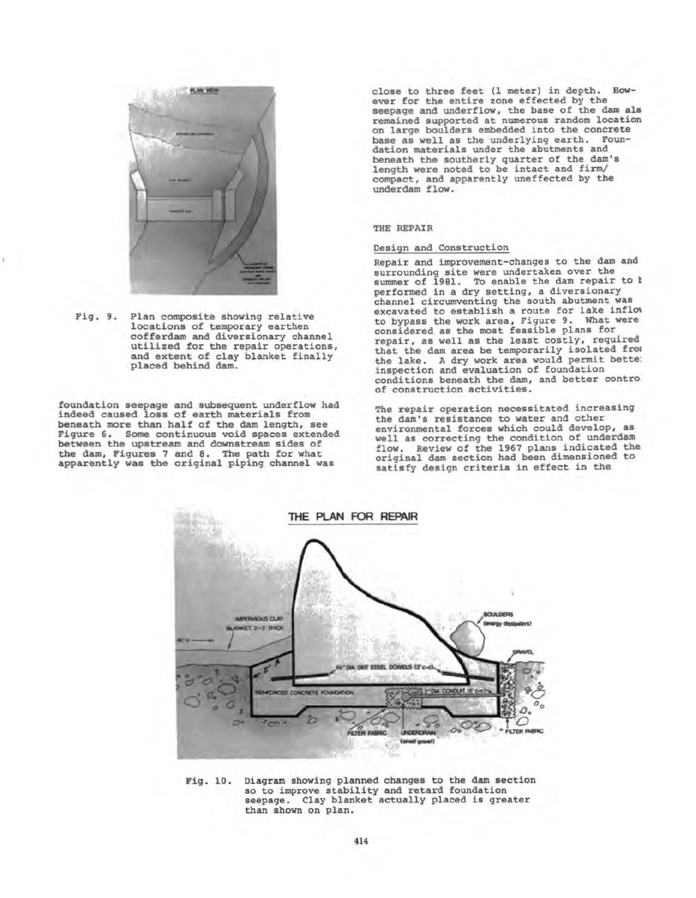

Pig. 9. Plan composite showing relative locations of temporary earthen cofferdam and diversionary channel utilized for the repair operations, and extent of clay blanket finally placed behind dam.

foundation seepage and subsequent underflow had indeed caused loss of earth materials from beneath more than half of the dam length, see<br>Figure 6. Some continuous void spaces extended between the upstream and downstream sides of the dam, Piqures 7 and 8. The path for what apparently was the original piping channel was

close to three feet (l meter) in depth. Bow- ever for the entire zone effected by tbe seepage and underflow, the base of the dam ala remained supported at numerous random location on large boulders embedded into the concrete base as well as the underlying earth. Foundation materials under the abutments and beneath the southerly quarter of the dam's length were noted to be intact and firm/ compact, and apparently uneffected by the underdam flow.

### THE REPAIR

# Design and Construction

Repair and improvement-changes to the dam and surrounding site were undertaken over the<br>summer of 1981. To enable the dam repair to t<br>performed in a dry setting, a diversionary channel circumventing the south abutment was<br>excavated to establish a route for lake inflow<br>to bypass the work area, Figure 9. What were to bypass the work area, Figure 9. What were considered as the most feasible plans for repair, as well as the least costly, required that the dam area be temporarily isolated from the lake. A dry work area would permit bette: inspection and evaluation of foundation conditions beneath the dam, and better contro of construction activities.

The repair operation necessitated increasing the dam's resistance to water and other environmental forces which could develop, as well as correcting the condition of underdaa flow. Review of the 1967 plans indicated the original dam section bad been dimensioned to satisfy design criteria in effect in the



Fig. 10. Diagram showing planned changes to the dam section so to improve stability and retard foundation so to improve stability and fetard foundation<br>seepage. Clay blanket actually placed is greater than shown on plan.